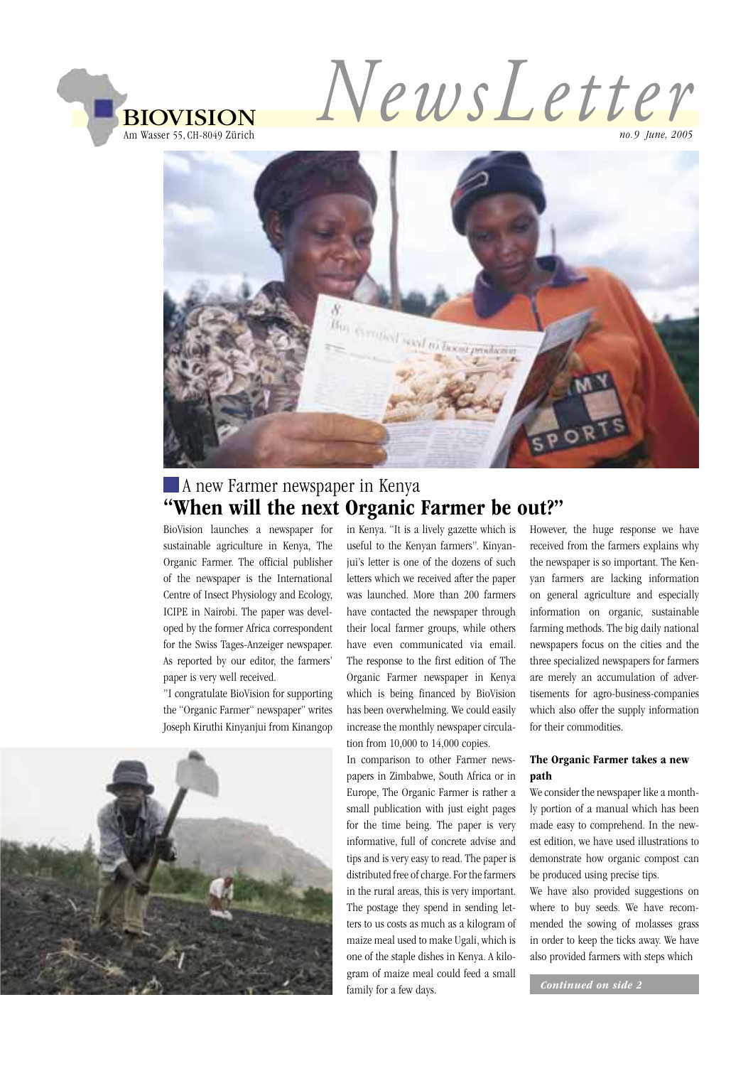

NewsLetter

no.9 June, 2005



# A new Farmer newspaper in Kenya "When will the next Organic Farmer be out?"

BioVision launches a newspaper for sustainable agriculture in Kenya, The Organic Farmer. The official publisher of the newspaper is the International Centre of Insect Physiology and Ecology, ICIPE in Nairobi. The paper was developed by the former Africa correspondent for the Swiss Tages-Anzeiger newspaper. As reported by our editor, the farmers' paper is very well received.

"I congratulate BioVision for supporting the "Organic Farmer" newspaper" writes Joseph Kiruthi Kinyanjui from Kinangop



in Kenya. "It is a lively gazette which is useful to the Kenyan farmers". Kinyanjui's letter is one of the dozens of such letters which we received after the paper was launched. More than 200 farmers have contacted the newspaper through their local farmer groups, while others have even communicated via email. The response to the first edition of The Organic Farmer newspaper in Kenya which is being financed by BioVision has been overwhelming. We could easily increase the monthly newspaper circulation from  $10,000$  to  $14,000$  copies.

In comparison to other Farmer newspapers in Zimbabwe, South Africa or in Europe, The Organic Farmer is rather a small publication with just eight pages for the time being. The paper is very informative, full of concrete advise and tips and is very easy to read. The paper is distributed free of charge. For the farmers in the rural areas, this is very important. The postage they spend in sending letters to us costs as much as a kilogram of maize meal used to make Ugali, which is one of the staple dishes in Kenya. A kilogram of maize meal could feed a small family for a few days.

However, the huge response we have received from the farmers explains why the newspaper is so important. The Kenvan farmers are lacking information on general agriculture and especially information on organic, sustainable farming methods. The big daily national newspapers focus on the cities and the three specialized newspapers for farmers are merely an accumulation of advertisements for agro-business-companies which also offer the supply information for their commodities.

#### The Organic Farmer takes a new path

We consider the newspaper like a monthly portion of a manual which has been made easy to comprehend. In the newest edition, we have used illustrations to demonstrate how organic compost can be produced using precise tips.

We have also provided suggestions on where to buy seeds. We have recommended the sowing of molasses grass in order to keep the ticks away. We have also provided farmers with steps which

Continued on side 2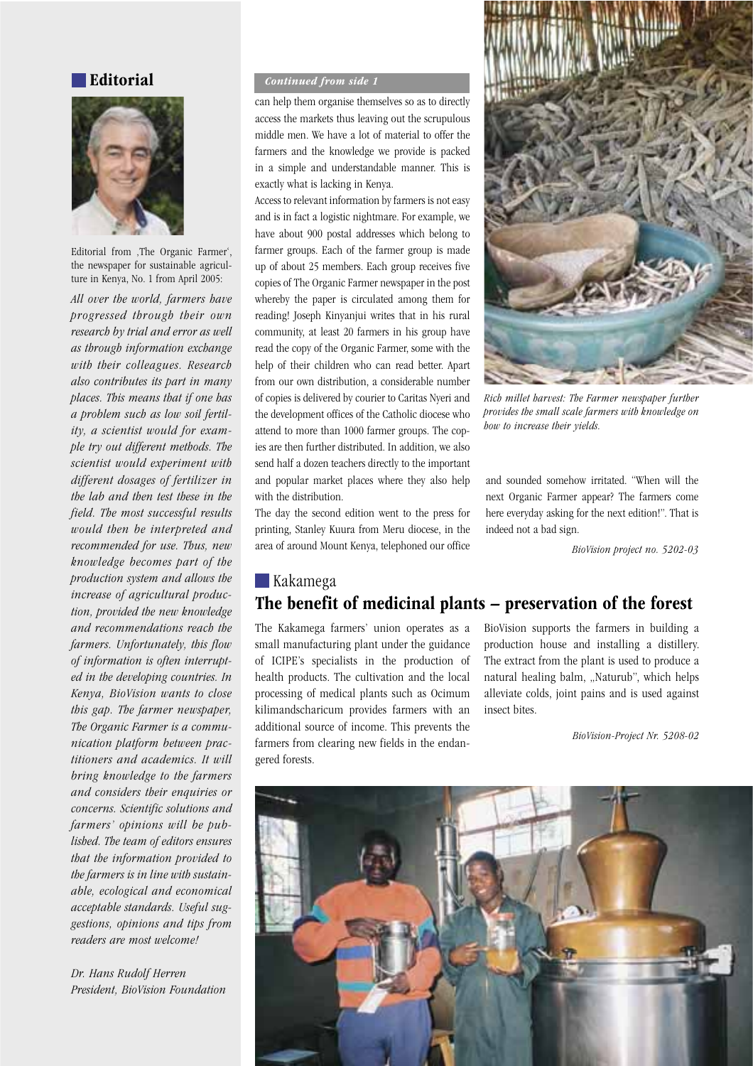### Editorial



Editorial from ,The Organic Farmer', the newspaper for sustainable agriculture in Kenya, No. 1 from April 2005:

All over the world, farmers have progressed through their own research by trial and error as well as through information exchange with their colleagues. Research also contributes its part in many places. This means that if one has a problem such as low soil fertility, a scientist would for example try out different methods. The scientist would experiment with different dosages of fertilizer in the lab and then test these in the field. The most successful results would then be interpreted and recommended for use. Thus, new knowledge becomes part of the production system and allows the increase of agricultural production, provided the new knowledge and recommendations reach the farmers. Unfortunately, this flow of information is often interrupted in the developing countries. In Kenya, BioVision wants to close this gap. The farmer newspaper, The Organic Farmer is a communication platform between practitioners and academics. It will bring knowledge to the farmers and considers their enquiries or concerns. Scientific solutions and farmers' opinions will be published. The team of editors ensures that the information provided to the farmers is in line with sustainable, ecological and economical acceptable standards. Useful suggestions, opinions and tips from readers are most welcome!

Dr. Hans Rudolf Herren President, BioVision Foundation

#### **Continued from side 1**

can help them organise themselves so as to directly access the markets thus leaving out the scrupulous middle men. We have a lot of material to offer the farmers and the knowledge we provide is packed in a simple and understandable manner. This is exactly what is lacking in Kenya.

Access to relevant information by farmers is not easy and is in fact a logistic nightmare. For example, we have about 900 postal addresses which belong to farmer groups. Each of the farmer group is made up of about 25 members. Each group receives five copies of The Organic Farmer newspaper in the post whereby the paper is circulated among them for reading! Joseph Kinyanjui writes that in his rural community, at least 20 farmers in his group have read the copy of the Organic Farmer, some with the help of their children who can read better. Apart from our own distribution, a considerable number of copies is delivered by courier to Caritas Nyeri and the development offices of the Catholic diocese who attend to more than 1000 farmer groups. The copies are then further distributed. In addition, we also send half a dozen teachers directly to the important and popular market places where they also help with the distribution.

The day the second edition went to the press for printing, Stanley Kuura from Meru diocese, in the area of around Mount Kenya, telephoned our office



Rich millet harvest: The Farmer newspaper further provides the small scale farmers with knowledge on how to increase their vields.

and sounded somehow irritated. "When will the next Organic Farmer appear? The farmers come here everyday asking for the next edition!". That is indeed not a bad sign.

BioVision project no. 5202-03

## Kakamega The benefit of medicinal plants – preservation of the forest

The Kakamega farmers' union operates as a small manufacturing plant under the guidance of ICIPE's specialists in the production of health products. The cultivation and the local processing of medical plants such as Ocimum kilimandscharicum provides farmers with an additional source of income. This prevents the farmers from clearing new fields in the endangered forests.

BioVision supports the farmers in building a production house and installing a distillery. The extract from the plant is used to produce a natural healing balm, "Naturub", which helps alleviate colds, joint pains and is used against insect bites.

BioVision-Project Nr. 5208-02

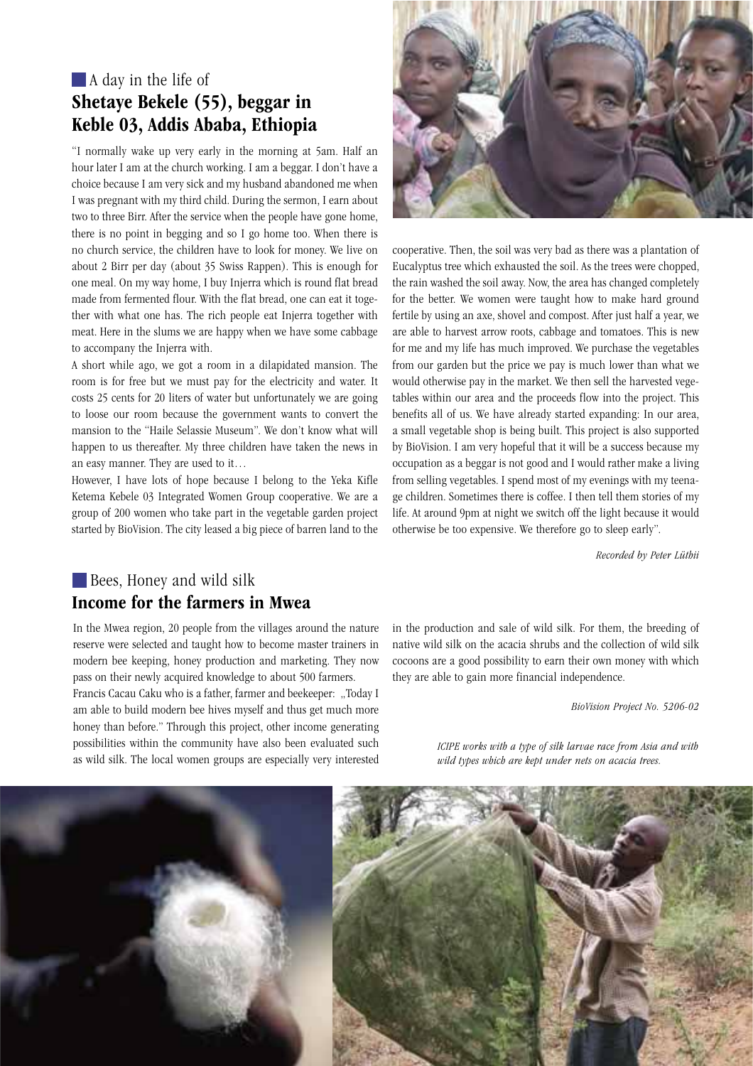# A day in the life of Shetaye Bekele (55), beggar in Keble 03, Addis Ababa, Ethiopia

"I normally wake up very early in the morning at 5am. Half an hour later I am at the church working. I am a beggar. I don't have a choice because I am very sick and my husband abandoned me when I was pregnant with my third child. During the sermon, I earn about two to three Birr. After the service when the people have gone home. there is no point in begging and so I go home too. When there is no church service, the children have to look for money. We live on about 2 Birr per day (about 35 Swiss Rappen). This is enough for one meal. On my way home, I buy Injerra which is round flat bread made from fermented flour. With the flat bread, one can eat it together with what one has. The rich people eat Injerra together with meat. Here in the slums we are happy when we have some cabbage to accompany the Injerra with.

A short while ago, we got a room in a dilapidated mansion. The room is for free but we must pay for the electricity and water. It costs 25 cents for 20 liters of water but unfortunately we are going to loose our room because the government wants to convert the mansion to the "Haile Selassie Museum". We don't know what will happen to us thereafter. My three children have taken the news in an easy manner. They are used to it...

However, I have lots of hope because I belong to the Yeka Kifle Ketema Kebele 03 Integrated Women Group cooperative. We are a group of 200 women who take part in the vegetable garden project started by BioVision. The city leased a big piece of barren land to the



cooperative. Then, the soil was very bad as there was a plantation of Eucalyptus tree which exhausted the soil. As the trees were chopped, the rain washed the soil away. Now, the area has changed completely for the better. We women were taught how to make hard ground fertile by using an axe, shovel and compost. After just half a year, we are able to harvest arrow roots, cabbage and tomatoes. This is new for me and my life has much improved. We purchase the vegetables from our garden but the price we pay is much lower than what we would otherwise pay in the market. We then sell the harvested vegetables within our area and the proceeds flow into the project. This benefits all of us. We have already started expanding: In our area, a small vegetable shop is being built. This project is also supported by BioVision. I am very hopeful that it will be a success because my occupation as a beggar is not good and I would rather make a living from selling vegetables. I spend most of my evenings with my teenage children. Sometimes there is coffee. I then tell them stories of my life. At around 9pm at night we switch off the light because it would otherwise be too expensive. We therefore go to sleep early".

Recorded by Peter Lüthii

## Bees, Honey and wild silk Income for the farmers in Mwea

In the Mwea region, 20 people from the villages around the nature reserve were selected and taught how to become master trainers in modern bee keeping, honey production and marketing. They now pass on their newly acquired knowledge to about 500 farmers.

Francis Cacau Caku who is a father, farmer and beekeeper: "Today I am able to build modern bee hives myself and thus get much more honey than before." Through this project, other income generating possibilities within the community have also been evaluated such as wild silk. The local women groups are especially very interested

in the production and sale of wild silk. For them, the breeding of native wild silk on the acacia shrubs and the collection of wild silk cocoons are a good possibility to earn their own money with which they are able to gain more financial independence.

BioVision Project No. 5206-02

ICIPE works with a type of silk larvae race from Asia and with wild types which are kept under nets on acacia trees.